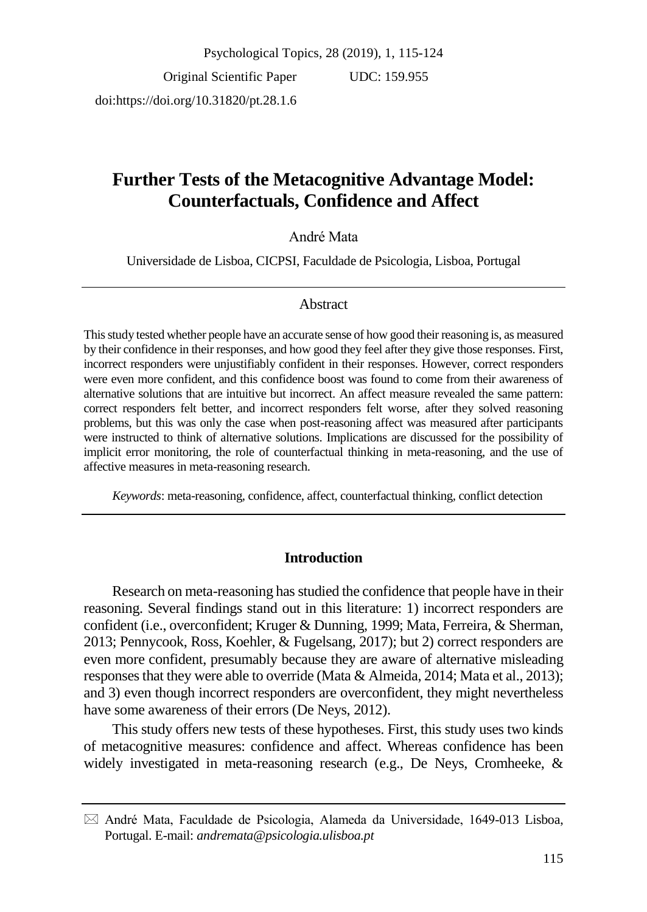Original Scientific Paper doi:https://doi.org/10.31820/pt.28.1.6

UDC: 159.955

# **Further Tests of the Metacognitive Advantage Model: Counterfactuals, Confidence and Affect**

# André Mata

Universidade de Lisboa, CICPSI, Faculdade de Psicologia, Lisboa, Portugal

## Abstract

This study tested whether people have an accurate sense of how good their reasoning is, as measured by their confidence in their responses, and how good they feel after they give those responses. First, incorrect responders were unjustifiably confident in their responses. However, correct responders were even more confident, and this confidence boost was found to come from their awareness of alternative solutions that are intuitive but incorrect. An affect measure revealed the same pattern: correct responders felt better, and incorrect responders felt worse, after they solved reasoning problems, but this was only the case when post-reasoning affect was measured after participants were instructed to think of alternative solutions. Implications are discussed for the possibility of implicit error monitoring, the role of counterfactual thinking in meta-reasoning, and the use of affective measures in meta-reasoning research.

*Keywords*: meta-reasoning, confidence, affect, counterfactual thinking, conflict detection

## **Introduction**

Research on meta-reasoning has studied the confidence that people have in their reasoning. Several findings stand out in this literature: 1) incorrect responders are confident (i.e., overconfident; Kruger & Dunning, 1999; Mata, Ferreira, & Sherman, 2013; Pennycook, Ross, Koehler, & Fugelsang, 2017); but 2) correct responders are even more confident, presumably because they are aware of alternative misleading responses that they were able to override (Mata & Almeida, 2014; Mata et al., 2013); and 3) even though incorrect responders are overconfident, they might nevertheless have some awareness of their errors (De Neys, 2012).

This study offers new tests of these hypotheses. First, this study uses two kinds of metacognitive measures: confidence and affect. Whereas confidence has been widely investigated in meta-reasoning research (e.g., De Neys, Cromheeke, &

 $\boxtimes$  André Mata, Faculdade de Psicologia, Alameda da Universidade, 1649-013 Lisboa, Portugal. E-mail: *andremata@psicologia.ulisboa.pt*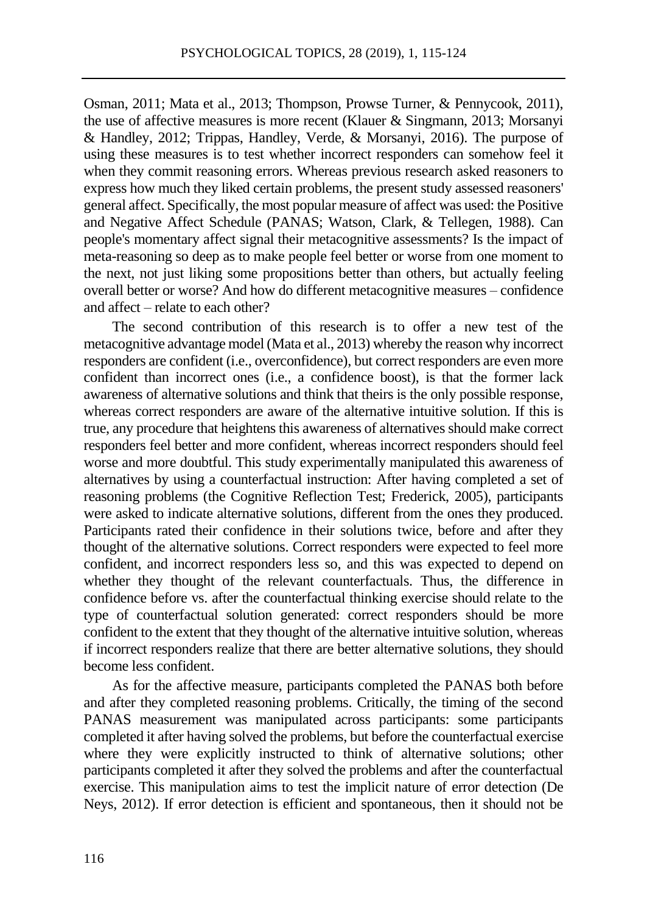Osman, 2011; Mata et al., 2013; Thompson, Prowse Turner, & Pennycook, 2011), the use of affective measures is more recent (Klauer & Singmann, 2013; Morsanyi & Handley, 2012; Trippas, Handley, Verde, & Morsanyi, 2016). The purpose of using these measures is to test whether incorrect responders can somehow feel it when they commit reasoning errors. Whereas previous research asked reasoners to express how much they liked certain problems, the present study assessed reasoners' general affect. Specifically, the most popular measure of affect was used: the Positive and Negative Affect Schedule (PANAS; Watson, Clark, & Tellegen, 1988). Can people's momentary affect signal their metacognitive assessments? Is the impact of meta-reasoning so deep as to make people feel better or worse from one moment to the next, not just liking some propositions better than others, but actually feeling overall better or worse? And how do different metacognitive measures – confidence and affect – relate to each other?

The second contribution of this research is to offer a new test of the metacognitive advantage model (Mata et al., 2013) whereby the reason why incorrect responders are confident (i.e., overconfidence), but correct responders are even more confident than incorrect ones (i.e., a confidence boost), is that the former lack awareness of alternative solutions and think that theirs is the only possible response, whereas correct responders are aware of the alternative intuitive solution. If this is true, any procedure that heightens this awareness of alternatives should make correct responders feel better and more confident, whereas incorrect responders should feel worse and more doubtful. This study experimentally manipulated this awareness of alternatives by using a counterfactual instruction: After having completed a set of reasoning problems (the Cognitive Reflection Test; Frederick, 2005), participants were asked to indicate alternative solutions, different from the ones they produced. Participants rated their confidence in their solutions twice, before and after they thought of the alternative solutions. Correct responders were expected to feel more confident, and incorrect responders less so, and this was expected to depend on whether they thought of the relevant counterfactuals. Thus, the difference in confidence before vs. after the counterfactual thinking exercise should relate to the type of counterfactual solution generated: correct responders should be more confident to the extent that they thought of the alternative intuitive solution, whereas if incorrect responders realize that there are better alternative solutions, they should become less confident.

As for the affective measure, participants completed the PANAS both before and after they completed reasoning problems. Critically, the timing of the second PANAS measurement was manipulated across participants: some participants completed it after having solved the problems, but before the counterfactual exercise where they were explicitly instructed to think of alternative solutions; other participants completed it after they solved the problems and after the counterfactual exercise. This manipulation aims to test the implicit nature of error detection (De Neys, 2012). If error detection is efficient and spontaneous, then it should not be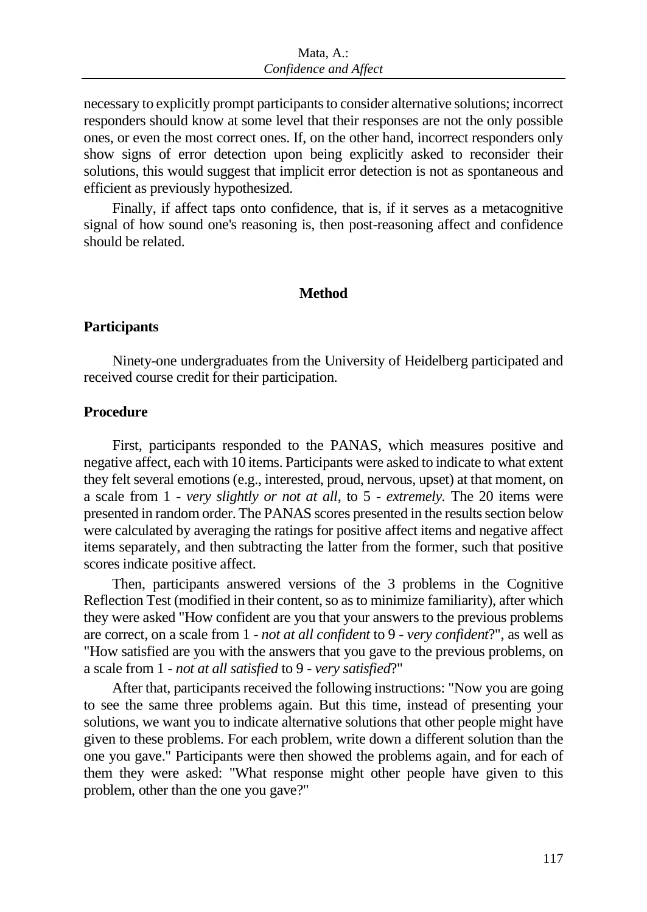## Mata $A$ . *Confidence and Affect*

necessary to explicitly prompt participants to consider alternative solutions; incorrect responders should know at some level that their responses are not the only possible ones, or even the most correct ones. If, on the other hand, incorrect responders only show signs of error detection upon being explicitly asked to reconsider their solutions, this would suggest that implicit error detection is not as spontaneous and efficient as previously hypothesized.

Finally, if affect taps onto confidence, that is, if it serves as a metacognitive signal of how sound one's reasoning is, then post-reasoning affect and confidence should be related.

## **Method**

#### **Participants**

Ninety-one undergraduates from the University of Heidelberg participated and received course credit for their participation.

## **Procedure**

First, participants responded to the PANA[S, which measures p](http://spider.apa.org/ftdocs/apl/1998/june/#c44)ositive and negative affect, each with 10 items. Participants were asked to indicate to what extent they felt several emotions (e.g., interested, proud, nervous, upset) at that moment, on a scale from 1 - *very slightly or not at all*, to 5 - *extremely.* The 20 items were presented in random order. The PANAS scores presented in the results section below were calculated by averaging the ratings for positive affect items and negative affect items separately, and then subtracting the latter from the former, such that positive scores indicate positive affect.

Then, participants answered versions of the 3 problems in the Cognitive Reflection Test (modified in their content, so as to minimize familiarity), after which they were asked "How confident are you that your answers to the previous problems are correct, on a scale from 1 - *not at all confident* to 9 - *very confident*?", as well as "How satisfied are you with the answers that you gave to the previous problems, on a scale from 1 - *not at all satisfied* to 9 - *very satisfied*?"

After that, participants received the following instructions: "Now you are going to see the same three problems again. But this time, instead of presenting your solutions, we want you to indicate alternative solutions that other people might have given to these problems. For each problem, write down a different solution than the one you gave." Participants were then showed the problems again, and for each of them they were asked: "What response might other people have given to this problem, other than the one you gave?"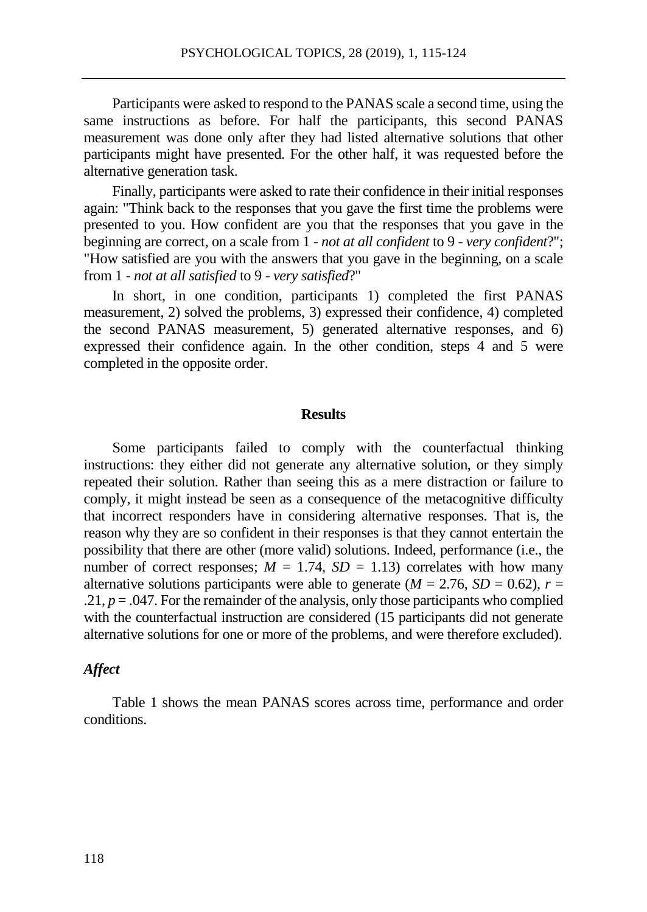Participants were asked to respond to the PANAS scale a second time, using the same instructions as before. For half the participants, this second PANAS measurement was done only after they had listed alternative solutions that other participants might have presented. For the other half, it was requested before the alternative generation task.

Finally, participants were asked to rate their confidence in their initial responses again: "Think back to the responses that you gave the first time the problems were presented to you. How confident are you that the responses that you gave in the beginning are correct, on a scale from 1 - *not at all confident* to 9 - *very confident*?"; "How satisfied are you with the answers that you gave in the beginning, on a scale from 1 - *not at all satisfied* to 9 - *very satisfied*?"

In short, in one condition, participants 1) completed the first PANAS measurement, 2) solved the problems, 3) expressed their confidence, 4) completed the second PANAS measurement, 5) generated alternative responses, and 6) expressed their confidence again. In the other condition, steps 4 and 5 were completed in the opposite order.

#### **Results**

Some participants failed to comply with the counterfactual thinking instructions: they either did not generate any alternative solution, or they simply repeated their solution. Rather than seeing this as a mere distraction or failure to comply, it might instead be seen as a consequence of the metacognitive difficulty that incorrect responders have in considering alternative responses. That is, the reason why they are so confident in their responses is that they cannot entertain the possibility that there are other (more valid) solutions. Indeed, performance (i.e., the number of correct responses;  $M = 1.74$ ,  $SD = 1.13$ ) correlates with how many alternative solutions participants were able to generate  $(M = 2.76, SD = 0.62)$ ,  $r =$  $.21, p = .047$ . For the remainder of the analysis, only those participants who complied with the counterfactual instruction are considered (15 participants did not generate alternative solutions for one or more of the problems, and were therefore excluded).

#### *Affect*

Table 1 shows the mean PANAS scores across time, performance and order conditions.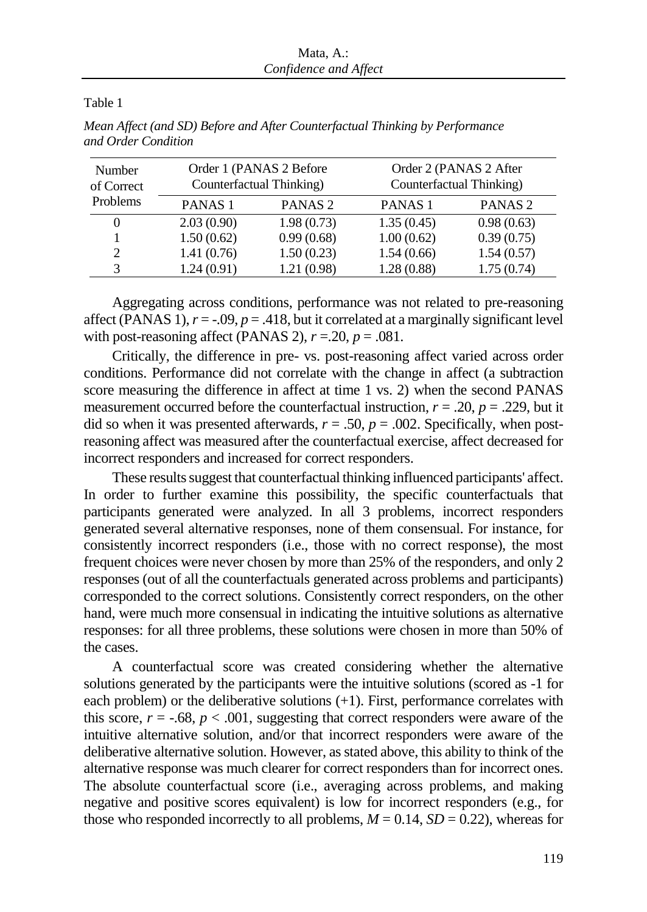Table 1

| Number<br>of Correct        | Order 1 (PANAS 2 Before<br>Counterfactual Thinking) |                    | Order 2 (PANAS 2 After<br>Counterfactual Thinking) |                    |
|-----------------------------|-----------------------------------------------------|--------------------|----------------------------------------------------|--------------------|
| Problems                    | PANAS <sub>1</sub>                                  | PANAS <sub>2</sub> | PANAS <sub>1</sub>                                 | PANAS <sub>2</sub> |
| $\theta$                    | 2.03(0.90)                                          | 1.98(0.73)         | 1.35(0.45)                                         | 0.98(0.63)         |
|                             | 1.50(0.62)                                          | 0.99(0.68)         | 1.00(0.62)                                         | 0.39(0.75)         |
| $\mathcal{D}_{\mathcal{A}}$ | 1.41(0.76)                                          | 1.50(0.23)         | 1.54(0.66)                                         | 1.54(0.57)         |
|                             | 1.24(0.91)                                          | 1.21 (0.98)        | 1.28(0.88)                                         | 1.75(0.74)         |

*Mean Affect (and SD) Before and After Counterfactual Thinking by Performance and Order Condition*

Aggregating across conditions, performance was not related to pre-reasoning affect (PANAS 1),  $r = -.09$ ,  $p = .418$ , but it correlated at a marginally significant level with post-reasoning affect (PANAS 2),  $r = 0.20$ ,  $p = 0.081$ .

Critically, the difference in pre- vs. post-reasoning affect varied across order conditions. Performance did not correlate with the change in affect (a subtraction score measuring the difference in affect at time 1 vs. 2) when the second PANAS measurement occurred before the counterfactual instruction,  $r = .20$ ,  $p = .229$ , but it did so when it was presented afterwards,  $r = .50$ ,  $p = .002$ . Specifically, when postreasoning affect was measured after the counterfactual exercise, affect decreased for incorrect responders and increased for correct responders.

These results suggest that counterfactual thinking influenced participants' affect. In order to further examine this possibility, the specific counterfactuals that participants generated were analyzed. In all 3 problems, incorrect responders generated several alternative responses, none of them consensual. For instance, for consistently incorrect responders (i.e., those with no correct response), the most frequent choices were never chosen by more than 25% of the responders, and only 2 responses (out of all the counterfactuals generated across problems and participants) corresponded to the correct solutions. Consistently correct responders, on the other hand, were much more consensual in indicating the intuitive solutions as alternative responses: for all three problems, these solutions were chosen in more than 50% of the cases.

A counterfactual score was created considering whether the alternative solutions generated by the participants were the intuitive solutions (scored as -1 for each problem) or the deliberative solutions (+1). First, performance correlates with this score,  $r = -.68$ ,  $p < .001$ , suggesting that correct responders were aware of the intuitive alternative solution, and/or that incorrect responders were aware of the deliberative alternative solution. However, as stated above, this ability to think of the alternative response was much clearer for correct responders than for incorrect ones. The absolute counterfactual score (i.e., averaging across problems, and making negative and positive scores equivalent) is low for incorrect responders (e.g., for those who responded incorrectly to all problems,  $M = 0.14$ ,  $SD = 0.22$ ), whereas for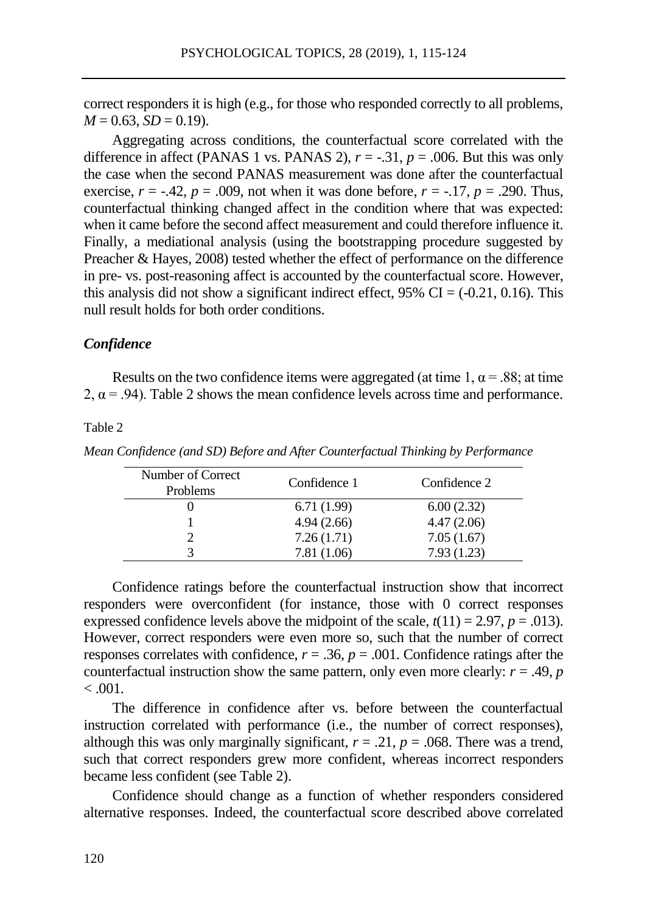correct responders it is high (e.g., for those who responded correctly to all problems,  $M = 0.63$ ,  $SD = 0.19$ ).

Aggregating across conditions, the counterfactual score correlated with the difference in affect (PANAS 1 vs. PANAS 2),  $r = -.31$ ,  $p = .006$ . But this was only the case when the second PANAS measurement was done after the counterfactual exercise,  $r = -0.42$ ,  $p = 0.009$ , not when it was done before,  $r = -0.17$ ,  $p = 0.290$ . Thus, counterfactual thinking changed affect in the condition where that was expected: when it came before the second affect measurement and could therefore influence it. Finally, a mediational analysis (using the bootstrapping procedure suggested by Preacher & Hayes, 2008) tested whether the effect of performance on the difference in pre- vs. post-reasoning affect is accounted by the counterfactual score. However, this analysis did not show a significant indirect effect, 95% CI =  $(-0.21, 0.16)$ . This null result holds for both order conditions.

## *Confidence*

Results on the two confidence items were aggregated (at time 1,  $\alpha$  = .88; at time 2,  $\alpha$  = .94). Table 2 shows the mean confidence levels across time and performance.

## Table 2

| Number of Correct<br>Problems | Confidence 1 | Confidence 2 |
|-------------------------------|--------------|--------------|
|                               | 6.71(1.99)   | 6.00(2.32)   |
|                               | 4.94(2.66)   | 4.47(2.06)   |
|                               | 7.26(1.71)   | 7.05(1.67)   |
|                               | 7.81 (1.06)  | 7.93 (1.23)  |

*Mean Confidence (and SD) Before and After Counterfactual Thinking by Performance* 

Confidence ratings before the counterfactual instruction show that incorrect responders were overconfident (for instance, those with 0 correct responses expressed confidence levels above the midpoint of the scale,  $t(11) = 2.97$ ,  $p = .013$ ). However, correct responders were even more so, such that the number of correct responses correlates with confidence,  $r = .36$ ,  $p = .001$ . Confidence ratings after the counterfactual instruction show the same pattern, only even more clearly:  $r = .49$ ,  $p = .49$  $< .001.$ 

The difference in confidence after vs. before between the counterfactual instruction correlated with performance (i.e., the number of correct responses), although this was only marginally significant,  $r = .21$ ,  $p = .068$ . There was a trend, such that correct responders grew more confident, whereas incorrect responders became less confident (see Table 2).

Confidence should change as a function of whether responders considered alternative responses. Indeed, the counterfactual score described above correlated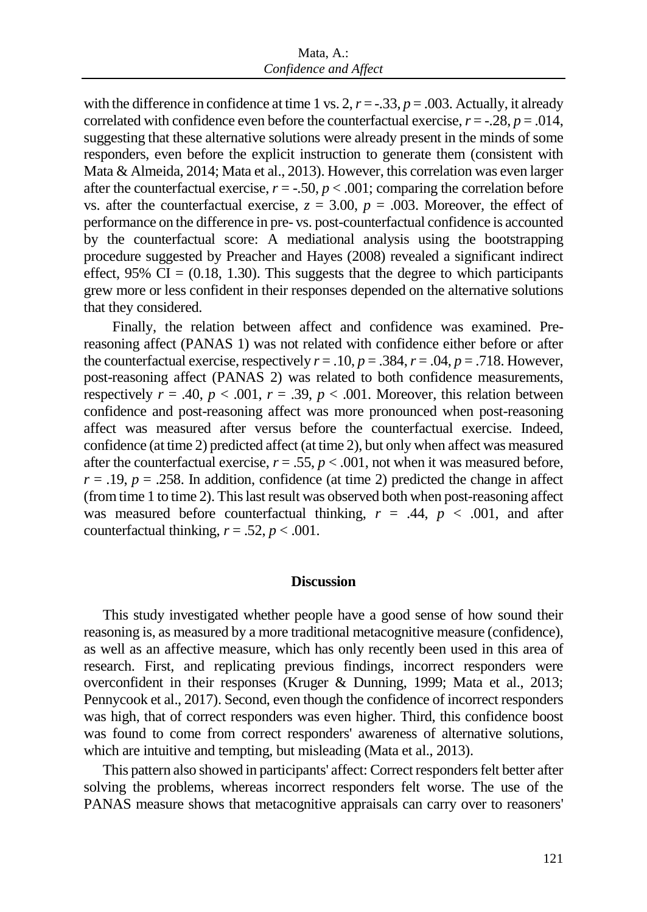with the difference in confidence at time 1 vs.  $2, r = -0.33$ ,  $p = 0.003$ . Actually, it already correlated with confidence even before the counterfactual exercise,  $r = -0.28$ ,  $p = 0.014$ , suggesting that these alternative solutions were already present in the minds of some responders, even before the explicit instruction to generate them (consistent with Mata & Almeida, 2014; Mata et al., 2013). However, this correlation was even larger after the counterfactual exercise,  $r = -.50$ ,  $p < .001$ ; comparing the correlation before vs. after the counterfactual exercise,  $z = 3.00$ ,  $p = .003$ . Moreover, the effect of performance on the difference in pre- vs. post-counterfactual confidence is accounted by the counterfactual score: A mediational analysis using the bootstrapping procedure suggested by Preacher and Hayes (2008) revealed a significant indirect effect,  $95\%$  CI = (0.18, 1.30). This suggests that the degree to which participants grew more or less confident in their responses depended on the alternative solutions that they considered.

Finally, the relation between affect and confidence was examined. Prereasoning affect (PANAS 1) was not related with confidence either before or after the counterfactual exercise, respectively  $r = .10$ ,  $p = .384$ ,  $r = .04$ ,  $p = .718$ . However, post-reasoning affect (PANAS 2) was related to both confidence measurements, respectively  $r = .40$ ,  $p < .001$ ,  $r = .39$ ,  $p < .001$ . Moreover, this relation between confidence and post-reasoning affect was more pronounced when post-reasoning affect was measured after versus before the counterfactual exercise. Indeed, confidence (at time 2) predicted affect (at time 2), but only when affect was measured after the counterfactual exercise,  $r = .55$ ,  $p < .001$ , not when it was measured before,  $r = .19$ ,  $p = .258$ . In addition, confidence (at time 2) predicted the change in affect (from time 1 to time 2). This last result was observed both when post-reasoning affect was measured before counterfactual thinking,  $r = .44$ ,  $p < .001$ , and after counterfactual thinking,  $r = .52$ ,  $p < .001$ .

## **Discussion**

This study investigated whether people have a good sense of how sound their reasoning is, as measured by a more traditional metacognitive measure (confidence), as well as an affective measure, which has only recently been used in this area of research. First, and replicating previous findings, incorrect responders were overconfident in their responses (Kruger & Dunning, 1999; Mata et al., 2013; Pennycook et al., 2017). Second, even though the confidence of incorrect responders was high, that of correct responders was even higher. Third, this confidence boost was found to come from correct responders' awareness of alternative solutions, which are intuitive and tempting, but misleading (Mata et al., 2013).

This pattern also showed in participants' affect: Correct responders felt better after solving the problems, whereas incorrect responders felt worse. The use of the PANAS measure shows that metacognitive appraisals can carry over to reasoners'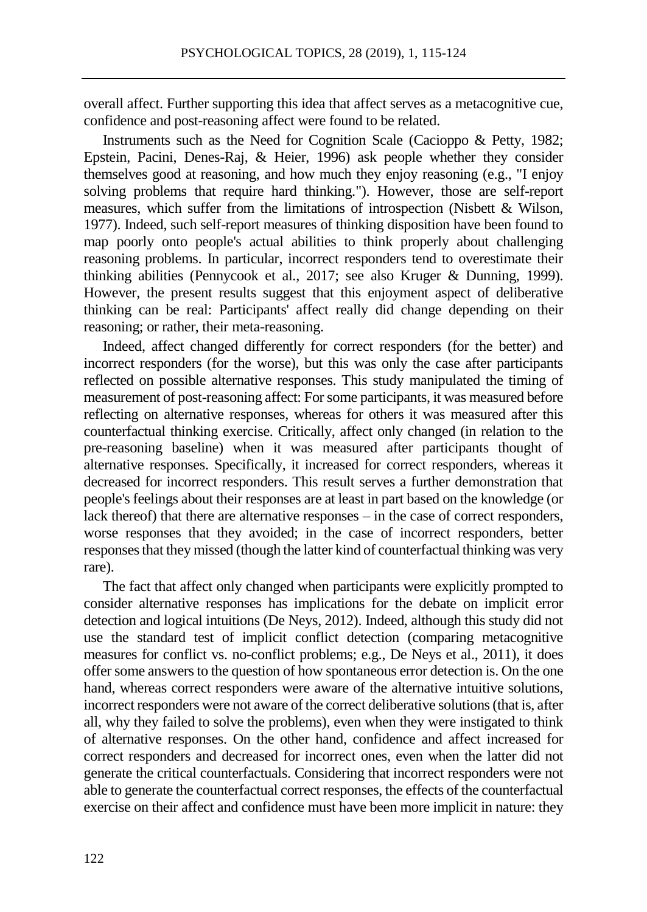overall affect. Further supporting this idea that affect serves as a metacognitive cue, confidence and post-reasoning affect were found to be related.

Instruments such as the Need for Cognition Scale (Cacioppo & Petty, 1982; Epstein, Pacini, Denes-Raj, & Heier, 1996) ask people whether they consider themselves good at reasoning, and how much they enjoy reasoning (e.g., "I enjoy solving problems that require hard thinking."). However, those are self-report measures, which suffer from the limitations of introspection (Nisbett & Wilson, 1977). Indeed, such self-report measures of thinking disposition have been found to map poorly onto people's actual abilities to think properly about challenging reasoning problems. In particular, incorrect responders tend to overestimate their thinking abilities (Pennycook et al., 2017; see also Kruger & Dunning, 1999). However, the present results suggest that this enjoyment aspect of deliberative thinking can be real: Participants' affect really did change depending on their reasoning; or rather, their meta-reasoning.

Indeed, affect changed differently for correct responders (for the better) and incorrect responders (for the worse), but this was only the case after participants reflected on possible alternative responses. This study manipulated the timing of measurement of post-reasoning affect: For some participants, it was measured before reflecting on alternative responses, whereas for others it was measured after this counterfactual thinking exercise. Critically, affect only changed (in relation to the pre-reasoning baseline) when it was measured after participants thought of alternative responses. Specifically, it increased for correct responders, whereas it decreased for incorrect responders. This result serves a further demonstration that people's feelings about their responses are at least in part based on the knowledge (or lack thereof) that there are alternative responses – in the case of correct responders, worse responses that they avoided; in the case of incorrect responders, better responses that they missed (though the latter kind of counterfactual thinking was very rare).

The fact that affect only changed when participants were explicitly prompted to consider alternative responses has implications for the debate on implicit error detection and logical intuitions (De Neys, 2012). Indeed, although this study did not use the standard test of implicit conflict detection (comparing metacognitive measures for conflict vs. no-conflict problems; e.g., De Neys et al., 2011), it does offersome answers to the question of how spontaneous error detection is. On the one hand, whereas correct responders were aware of the alternative intuitive solutions, incorrect responders were not aware of the correct deliberative solutions (that is, after all, why they failed to solve the problems), even when they were instigated to think of alternative responses. On the other hand, confidence and affect increased for correct responders and decreased for incorrect ones, even when the latter did not generate the critical counterfactuals. Considering that incorrect responders were not able to generate the counterfactual correct responses, the effects of the counterfactual exercise on their affect and confidence must have been more implicit in nature: they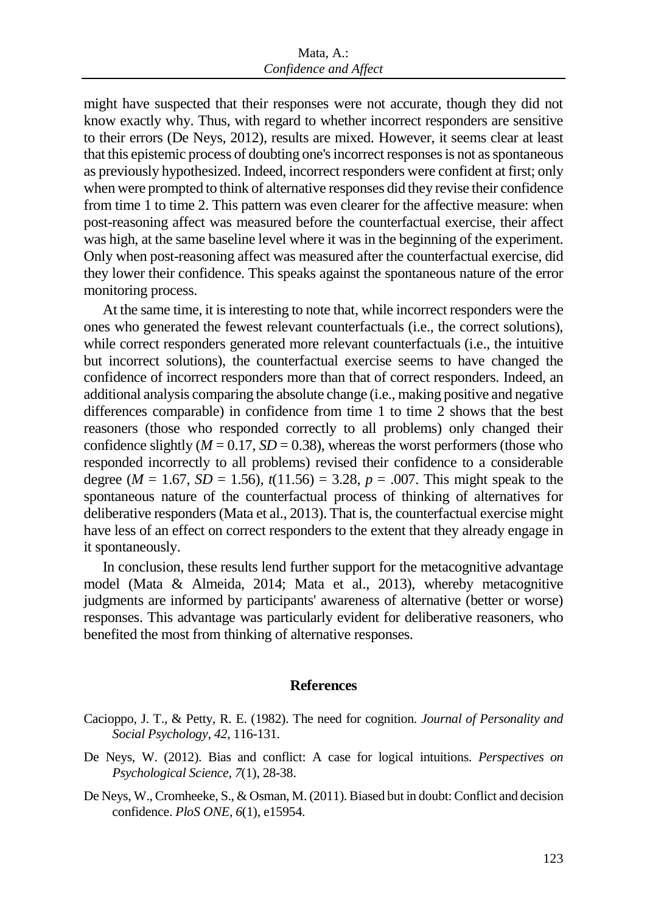might have suspected that their responses were not accurate, though they did not know exactly why. Thus, with regard to whether incorrect responders are sensitive to their errors (De Neys, 2012), results are mixed. However, it seems clear at least that this epistemic process of doubting one's incorrect responses is not as spontaneous as previously hypothesized. Indeed, incorrect responders were confident at first; only when were prompted to think of alternative responses did they revise their confidence from time 1 to time 2. This pattern was even clearer for the affective measure: when post-reasoning affect was measured before the counterfactual exercise, their affect was high, at the same baseline level where it was in the beginning of the experiment. Only when post-reasoning affect was measured after the counterfactual exercise, did they lower their confidence. This speaks against the spontaneous nature of the error monitoring process.

At the same time, it is interesting to note that, while incorrect responders were the ones who generated the fewest relevant counterfactuals (i.e., the correct solutions), while correct responders generated more relevant counterfactuals (i.e., the intuitive but incorrect solutions), the counterfactual exercise seems to have changed the confidence of incorrect responders more than that of correct responders. Indeed, an additional analysis comparing the absolute change (i.e., making positive and negative differences comparable) in confidence from time 1 to time 2 shows that the best reasoners (those who responded correctly to all problems) only changed their confidence slightly  $(M = 0.17, SD = 0.38)$ , whereas the worst performers (those who responded incorrectly to all problems) revised their confidence to a considerable degree ( $M = 1.67$ ,  $SD = 1.56$ ),  $t(11.56) = 3.28$ ,  $p = .007$ . This might speak to the spontaneous nature of the counterfactual process of thinking of alternatives for deliberative responders (Mata et al., 2013). That is, the counterfactual exercise might have less of an effect on correct responders to the extent that they already engage in it spontaneously.

In conclusion, these results lend further support for the metacognitive advantage model (Mata & Almeida, 2014; Mata et al., 2013), whereby metacognitive judgments are informed by participants' awareness of alternative (better or worse) responses. This advantage was particularly evident for deliberative reasoners, who benefited the most from thinking of alternative responses.

## **References**

- Cacioppo, J. T., & Petty, R. E. (1982). The need for cognition. *Journal of Personality and Social Psychology, 42*, 116-131.
- De Neys, W. (2012). Bias and conflict: A case for logical intuitions. *Perspectives on Psychological Science, 7*(1), 28-38.
- De Neys, W., Cromheeke, S., & Osman, M. (2011). Biased but in doubt: Conflict and decision confidence. *PloS ONE, 6*(1), e15954.